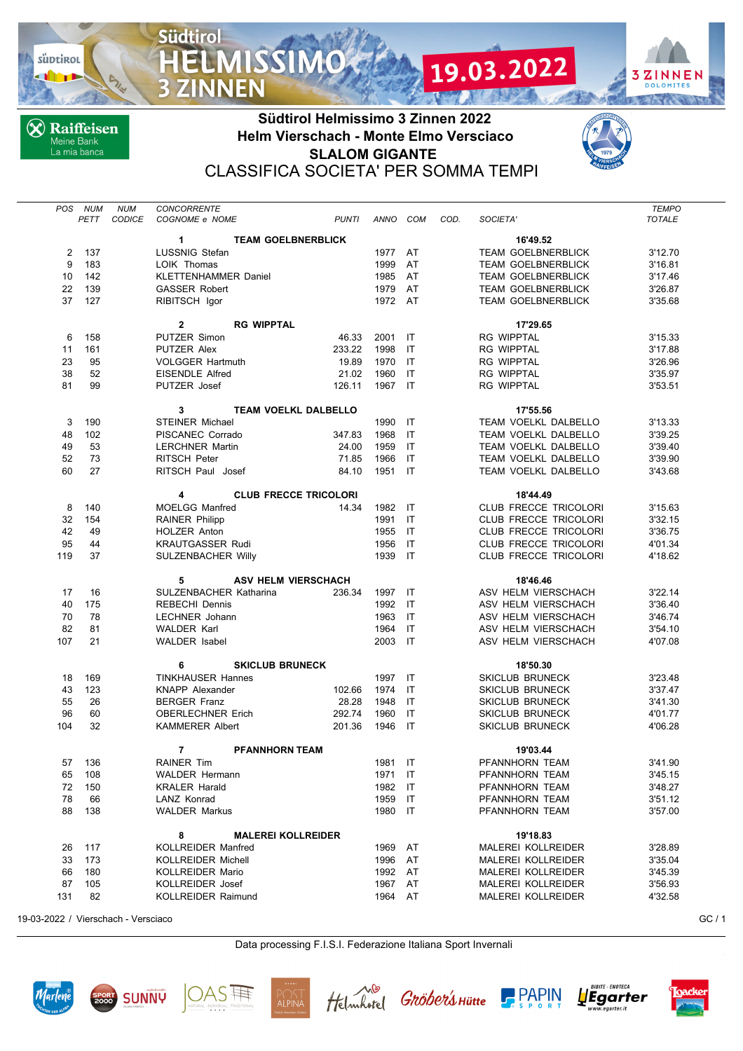

**X** Raiffeisen Meine Bank<br>La mia banca

**Südtirol** 

**MISSIMO** 



CLASSIFICA SOCIETA' PER SOMMA TEMPI

| TRAIFFEISE |  |
|------------|--|

3ZINNEN

**DOLOMIT ANGLES** 

19.03.2022

| <b>POS</b>                                   | <b>NUM</b> | <b>NUM</b>    | <b>CONCORRENTE</b>                      |                              |          |     |      |                              | <b>TEMPO</b>  |  |
|----------------------------------------------|------------|---------------|-----------------------------------------|------------------------------|----------|-----|------|------------------------------|---------------|--|
|                                              | PETT       | <b>CODICE</b> | COGNOME e NOME                          | <b>PUNTI</b>                 | ANNO COM |     | COD. | SOCIETA'                     | <b>TOTALE</b> |  |
| 1<br><b>TEAM GOELBNERBLICK</b><br>16'49.52   |            |               |                                         |                              |          |     |      |                              |               |  |
| 2                                            | 137        |               | <b>LUSSNIG Stefan</b>                   |                              | 1977     | AT  |      | <b>TEAM GOELBNERBLICK</b>    | 3'12.70       |  |
| 9                                            | 183        |               | LOIK Thomas                             |                              | 1999     | AT  |      | <b>TEAM GOELBNERBLICK</b>    | 3'16.81       |  |
| 10                                           | 142        |               | <b>KLETTENHAMMER Daniel</b>             |                              | 1985     | AT  |      | <b>TEAM GOELBNERBLICK</b>    | 3'17.46       |  |
| 22                                           | 139        |               | <b>GASSER Robert</b>                    |                              | 1979     | AT  |      | <b>TEAM GOELBNERBLICK</b>    | 3'26.87       |  |
| 37                                           | 127        |               | RIBITSCH Igor                           |                              | 1972 AT  |     |      | <b>TEAM GOELBNERBLICK</b>    | 3'35.68       |  |
|                                              |            |               | <b>RG WIPPTAL</b><br>$\mathbf{2}$       |                              |          |     |      | 17'29.65                     |               |  |
| 6                                            | 158        |               | PUTZER Simon                            | 46.33                        | 2001     | IT  |      | <b>RG WIPPTAL</b>            | 3'15.33       |  |
| 11                                           | 161        |               | PUTZER Alex                             | 233.22                       | 1998     | IT  |      | <b>RG WIPPTAL</b>            | 3'17.88       |  |
| 23                                           | 95         |               | <b>VOLGGER Hartmuth</b>                 | 19.89                        | 1970     | IT  |      | <b>RG WIPPTAL</b>            | 3'26.96       |  |
| 38                                           | 52         |               | <b>EISENDLE Alfred</b>                  | 21.02                        | 1960     | IT  |      | <b>RG WIPPTAL</b>            | 3'35.97       |  |
| 81                                           | 99         |               | PUTZER Josef                            | 126.11                       | 1967     | IT  |      | <b>RG WIPPTAL</b>            | 3'53.51       |  |
| 3<br><b>TEAM VOELKL DALBELLO</b><br>17'55.56 |            |               |                                         |                              |          |     |      |                              |               |  |
| 3                                            | 190        |               | <b>STEINER Michael</b>                  |                              | 1990     | IT  |      | TEAM VOELKL DALBELLO         | 3'13.33       |  |
| 48                                           | 102        |               | PISCANEC Corrado                        | 347.83                       | 1968     | IT  |      | TEAM VOELKL DALBELLO         | 3'39.25       |  |
| 49                                           | 53         |               | <b>LERCHNER Martin</b>                  | 24.00                        | 1959     | IT  |      | TEAM VOELKL DALBELLO         | 3'39.40       |  |
| 52                                           | 73         |               | <b>RITSCH Peter</b>                     | 71.85                        | 1966     | IT  |      | TEAM VOELKL DALBELLO         | 3'39.90       |  |
| 60                                           | 27         |               | RITSCH Paul Josef                       | 84.10                        | 1951     | IT  |      | TEAM VOELKL DALBELLO         | 3'43.68       |  |
|                                              |            |               | 4                                       | <b>CLUB FRECCE TRICOLORI</b> |          |     |      | 18'44.49                     |               |  |
| 8                                            | 140        |               | <b>MOELGG Manfred</b>                   | 14.34                        | 1982     | -IT |      | CLUB FRECCE TRICOLORI        | 3'15.63       |  |
| 32                                           | 154        |               | <b>RAINER Philipp</b>                   |                              | 1991     | IT  |      | <b>CLUB FRECCE TRICOLORI</b> | 3'32.15       |  |
| 42                                           | 49         |               | <b>HOLZER Anton</b>                     |                              | 1955     | IT  |      | CLUB FRECCE TRICOLORI        | 3'36.75       |  |
| 95                                           | 44         |               | <b>KRAUTGASSER Rudi</b>                 |                              | 1956     | IT  |      | CLUB FRECCE TRICOLORI        | 4'01.34       |  |
| 119                                          | 37         |               | <b>SULZENBACHER Willy</b>               |                              | 1939     | IT  |      | CLUB FRECCE TRICOLORI        | 4'18.62       |  |
| <b>ASV HELM VIERSCHACH</b><br>5              |            |               |                                         |                              |          |     |      | 18'46.46                     |               |  |
| 17                                           | 16         |               | SULZENBACHER Katharina                  | 236.34                       | 1997     | IT  |      | ASV HELM VIERSCHACH          | 3'22.14       |  |
| 40                                           | 175        |               | <b>REBECHI Dennis</b>                   |                              | 1992     | IT  |      | ASV HELM VIERSCHACH          | 3'36.40       |  |
| 70                                           | 78         |               | LECHNER Johann                          |                              | 1963     | IT  |      | ASV HELM VIERSCHACH          | 3'46.74       |  |
| 82                                           | 81         |               | <b>WALDER Karl</b>                      |                              | 1964     | IT  |      | ASV HELM VIERSCHACH          | 3'54.10       |  |
| 107                                          | 21         |               | <b>WALDER</b> Isabel                    |                              | 2003     | IT  |      | ASV HELM VIERSCHACH          | 4'07.08       |  |
|                                              |            |               | 6<br><b>SKICLUB BRUNECK</b>             |                              |          |     |      | 18'50.30                     |               |  |
| 18                                           | 169        |               | <b>TINKHAUSER Hannes</b>                |                              | 1997     | IT  |      | <b>SKICLUB BRUNECK</b>       | 3'23.48       |  |
| 43                                           | 123        |               | <b>KNAPP Alexander</b>                  | 102.66                       | 1974     | IT  |      | <b>SKICLUB BRUNECK</b>       | 3'37.47       |  |
| 55                                           | 26         |               | <b>BERGER Franz</b>                     | 28.28                        | 1948     | IT  |      | <b>SKICLUB BRUNECK</b>       | 3'41.30       |  |
| 96                                           | 60         |               | <b>OBERLECHNER Erich</b>                | 292.74                       | 1960     | IT  |      | <b>SKICLUB BRUNECK</b>       | 4'01.77       |  |
| 104                                          | 32         |               | <b>KAMMERER Albert</b>                  | 201.36                       | 1946     | IT  |      | <b>SKICLUB BRUNECK</b>       | 4'06.28       |  |
|                                              |            |               | $\overline{7}$<br><b>PFANNHORN TEAM</b> |                              |          |     |      | 19'03.44                     |               |  |
|                                              | 57 136     |               | RAINER Tim                              |                              | 1981 IT  |     |      | PFANNHORN TEAM               | 3'41.90       |  |
|                                              | 65 108     |               | <b>WALDER Hermann</b>                   |                              | 1971 IT  |     |      | PFANNHORN TEAM               | 3'45.15       |  |
| 72                                           | 150        |               | <b>KRALER Harald</b>                    |                              | 1982 IT  |     |      | PFANNHORN TEAM               | 3'48.27       |  |
| 78                                           | 66         |               | LANZ Konrad                             |                              | 1959 IT  |     |      | PFANNHORN TEAM               | 3'51.12       |  |
| 88                                           | 138        |               | <b>WALDER Markus</b>                    |                              | 1980 IT  |     |      | PFANNHORN TEAM               | 3'57.00       |  |
| <b>MALEREI KOLLREIDER</b><br>19'18.83<br>8   |            |               |                                         |                              |          |     |      |                              |               |  |
| 26                                           | 117        |               | <b>KOLLREIDER Manfred</b>               |                              | 1969 AT  |     |      | MALEREI KOLLREIDER           | 3'28.89       |  |
| 33                                           | 173        |               | KOLLREIDER Michell                      |                              | 1996 AT  |     |      | MALEREI KOLLREIDER           | 3'35.04       |  |
| 66                                           | 180        |               | KOLLREIDER Mario                        |                              | 1992 AT  |     |      | MALEREI KOLLREIDER           | 3'45.39       |  |
| 87                                           | 105        |               | KOLLREIDER Josef                        |                              | 1967 AT  |     |      | MALEREI KOLLREIDER           | 3'56.93       |  |
| 131                                          | 82         |               | <b>KOLLREIDER Raimund</b>               |                              | 1964 AT  |     |      | MALEREI KOLLREIDER           | 4'32.58       |  |
|                                              |            |               |                                         |                              |          |     |      |                              |               |  |

19-03-2022 / Vierschach - Versciaco GC / 1

Data processing F.I.S.I. Federazione Italiana Sport Invernali